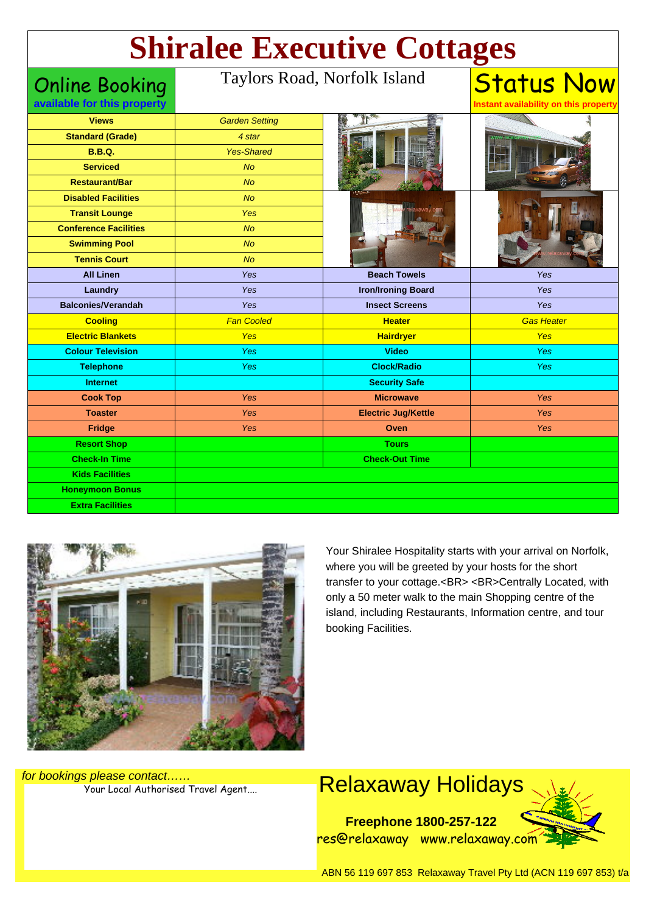# **Shiralee Executive Cottages**

Online Booking

#### Taylors Road, Norfolk Island

**Status Now Instant availability on this propert** 

|  | available for this property |
|--|-----------------------------|

| <b>Standard (Grade)</b><br>4 star                         |                   |
|-----------------------------------------------------------|-------------------|
| <b>B.B.Q.</b><br><b>Yes-Shared</b>                        |                   |
| <b>Serviced</b><br><b>No</b>                              |                   |
| <b>No</b><br><b>Restaurant/Bar</b>                        |                   |
| <b>Disabled Facilities</b><br><b>No</b>                   |                   |
| <b>Transit Lounge</b><br><b>Yes</b>                       |                   |
| <b>Conference Facilities</b><br>N <sub>O</sub>            |                   |
| <b>Swimming Pool</b><br>No                                |                   |
| <b>Tennis Court</b><br><b>No</b>                          |                   |
| <b>All Linen</b><br><b>Beach Towels</b><br>Yes            | Yes               |
| Laundry<br>Yes<br><b>Iron/Ironing Board</b>               | Yes               |
| <b>Balconies/Verandah</b><br>Yes<br><b>Insect Screens</b> | Yes               |
| <b>Fan Cooled</b><br><b>Heater</b><br><b>Cooling</b>      | <b>Gas Heater</b> |
| <b>Electric Blankets</b><br>Yes<br><b>Hairdryer</b>       | Yes               |
| <b>Colour Television</b><br>Yes<br><b>Video</b>           | Yes               |
| <b>Clock/Radio</b><br>Yes<br><b>Telephone</b>             | <b>Yes</b>        |
| <b>Security Safe</b><br><b>Internet</b>                   |                   |
| <b>Microwave</b><br><b>Cook Top</b><br>Yes                | Yes               |
| <b>Toaster</b><br><b>Electric Jug/Kettle</b><br>Yes       | Yes               |
| Fridge<br>Yes<br>Oven                                     | Yes               |
| <b>Resort Shop</b><br><b>Tours</b>                        |                   |
| <b>Check-In Time</b><br><b>Check-Out Time</b>             |                   |
| <b>Kids Facilities</b>                                    |                   |
| <b>Honeymoon Bonus</b>                                    |                   |
|                                                           |                   |



Your Shiralee Hospitality starts with your arrival on Norfolk, where you will be greeted by your hosts for the short transfer to your cottage.<BR><BR>Centrally Located, with only a 50 meter walk to the main Shopping centre of the island, including Restaurants, Information centre, and tour booking Facilities.

for bookings please contact……